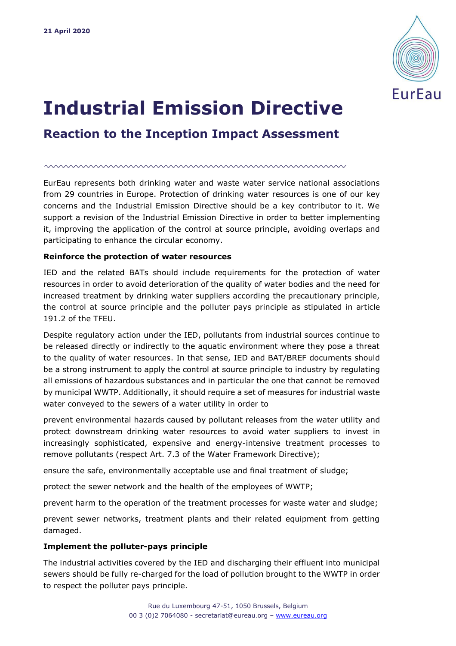

# **Industrial Emission Directive**

**Reaction to the Inception Impact Assessment**

EurEau represents both drinking water and waste water service national associations from 29 countries in Europe. Protection of drinking water resources is one of our key concerns and the Industrial Emission Directive should be a key contributor to it. We support a revision of the Industrial Emission Directive in order to better implementing it, improving the application of the control at source principle, avoiding overlaps and participating to enhance the circular economy.

# **Reinforce the protection of water resources**

IED and the related BATs should include requirements for the protection of water resources in order to avoid deterioration of the quality of water bodies and the need for increased treatment by drinking water suppliers according the precautionary principle, the control at source principle and the polluter pays principle as stipulated in article 191.2 of the TFEU.

Despite regulatory action under the IED, pollutants from industrial sources continue to be released directly or indirectly to the aquatic environment where they pose a threat to the quality of water resources. In that sense, IED and BAT/BREF documents should be a strong instrument to apply the control at source principle to industry by regulating all emissions of hazardous substances and in particular the one that cannot be removed by municipal WWTP. Additionally, it should require a set of measures for industrial waste water conveyed to the sewers of a water utility in order to

prevent environmental hazards caused by pollutant releases from the water utility and protect downstream drinking water resources to avoid water suppliers to invest in increasingly sophisticated, expensive and energy-intensive treatment processes to remove pollutants (respect Art. 7.3 of the Water Framework Directive);

ensure the safe, environmentally acceptable use and final treatment of sludge;

protect the sewer network and the health of the employees of WWTP;

prevent harm to the operation of the treatment processes for waste water and sludge;

prevent sewer networks, treatment plants and their related equipment from getting damaged.

# **Implement the polluter-pays principle**

The industrial activities covered by the IED and discharging their effluent into municipal sewers should be fully re-charged for the load of pollution brought to the WWTP in order to respect the polluter pays principle.